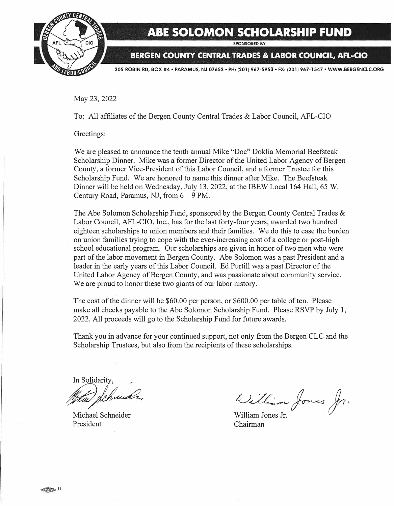

## **ABE SOLOMON SCHOLARSHIP FUND**

**SPONSORED BY** 

**BERGEN COUNTY CENTRAL TRADES & LABOR COUNCIL, AFL-CIO** 

**205 ROBIN RD, BOX #4 • PARAMUS, NJ 07652 • PH: (201) 967-5953 • FX: (201) 967-1547 • WWW.BERGENCLC.ORG** 

May 23, 2022

To: All affiliates of the Bergen County Central Trades & Labor Council, AFL-CIO

Greetings:

We are pleased to announce the tenth annual Mike "Doc" Doklia Memorial Beefsteak Scholarship Dinner. Mike was a former Director of the United Labor Agency of Bergen County, a former Vice-President of this Labor Council, and a former Trustee for this Scholarship Fund. We are honored to name this dinner after Mike. The Beefsteak Dinner will be held on Wednesday, July 13, 2022, at the IBEW Local 164 Hall, 65 W. Century Road, Paramus, NJ, from  $6 - 9$  PM.

The Abe Solomon Scholarship Fund, sponsored by the Bergen County Central Trades & Labor Council, AFL-CIO, Inc., has for the last forty-four years, awarded two hundred eighteen scholarships to union members and their families. We do this to ease the burden on union families trying to cope with the ever-increasing cost of a college or post-high school educational program. Our scholarships are given in honor of two men who were part of the labor movement in Bergen County. Abe Solomon was a past President and a leader in the early years of this Labor Council. Ed Purtill was a past Director of the United Labor Agency of Bergen County, and was passionate about community service. We are proud to honor these two giants of our labor history.

The cost of the dinner will be \$60.00 per person, or \$600.00 per table of ten. Please make all checks payable to the Abe Solomon Scholarship Fund. Please RSVP by July 1, 2022. All proceeds will go to the Scholarship Fund for future awards.

Thank you in advance for your continued support, not only from the Bergen CLC and the Scholarship Trustees, but also from the recipients of these scholarships.

In Solidarity, *µ)�* 

Michael Schneider President

William Jones Jr.

William Jones Jr. Chairman